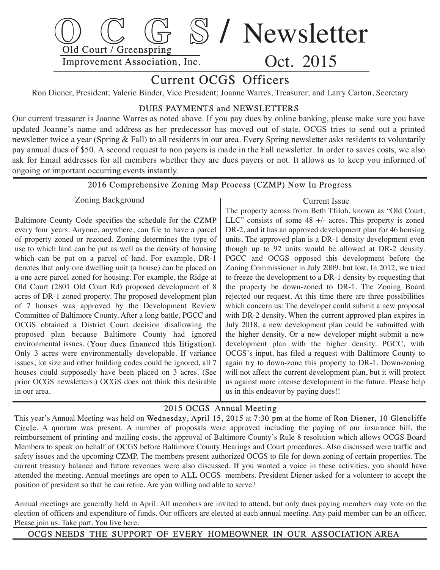

# Current OCGS Officers

Ron Diener, President; Valerie Binder, Vice President; Joanne Warres, Treasurer; and Larry Carton, Secretary

### DUES PAYMENTS and NEWSLETTERS

Our current treasurer is Joanne Warres as noted above. If you pay dues by online banking, please make sure you have updated Joanne's name and address as her predecessor has moved out of state. OCGS tries to send out a printed newsletter twice a year (Spring & Fall) to all residents in our area. Every Spring newsletter asks residents to voluntarily pay annual dues of \$50. A second request to non payers is made in the Fall newsletter. In order to saves costs, we also ask for Email addresses for all members whether they are dues payers or not. It allows us to keep you informed of ongoing or important occurring events instantly.

## 2016 Comprehensive Zoning Map Process (CZMP) Now In Progress

#### Zoning Background

 Baltimore County Code specifies the schedule for the CZMP every four years. Anyone, anywhere, can file to have a parcel of property zoned or rezoned. Zoning determines the type of use to which land can be put as well as the density of housing which can be put on a parcel of land. For example, DR-1 denotes that only one dwelling unit (a house) can be placed on a one acre parcel zoned for housing. For example, the Ridge at Old Court (2801 Old Court Rd) proposed development of 8 acres of DR-1 zoned property. The proposed development plan of 7 houses was approved by the Development Review Committee of Baltimore County. After a long battle, PGCC and OCGS obtained a District Court decision disallowing the proposed plan because Baltimore County had ignored environmental issues. (Your dues financed this litigation). Only 3 acres were environmentally developable. If variance issues, lot size and other building codes could be ignored, all 7 houses could supposedly have been placed on 3 acres. (See prior OCGS newsletters.) OCGS does not think this desirable in our area.

#### Current Issue

 The property across from Beth Tfiloh, known as "Old Court, LLC" consists of some 48 +/- acres. This property is zoned DR-2, and it has an approved development plan for 46 housing units. The approved plan is a DR-1 density development even though up to 92 units would be allowed at DR-2 density. PGCC and OCGS opposed this development before the Zoning Commissioner in July 2009. but lost. In 2012, we tried to freeze the development to a DR-1 density by requesting that the property be down-zoned to DR-1. The Zoning Board rejected our request. At this time there are three possibilities which concern us: The developer could submit a new proposal with DR-2 density. When the current approved plan expires in July 2018, a new development plan could be submitted with the higher density. Or a new developer might submit a new development plan with the higher density. PGCC, with OCGS's input, has filed a request with Baltimore County to again try to down-zone this property to DR-1. Down-zoning will not affect the current development plan, but it will protect us against more intense development in the future. Please help us in this endeavor by paying dues!!

### 2015 OCGS Annual Meeting

 This year's Annual Meeting was held on Wednesday, April 15, 2015 at 7:30 pm at the home of Ron Diener, 10 Glencliffe Circle. A quorum was present. A number of proposals were approved including the paying of our insurance bill, the reimbursement of printing and mailing costs, the approval of Baltimore County's Rule 8 resolution which allows OCGS Board Members to speak on behalf of OCGS before Baltimore County Hearings and Court procedures. Also discussed were traffic and safety issues and the upcoming CZMP. The members present authorized OCGS to file for down zoning of certain properties. The current treasury balance and future revenues were also discussed. If you wanted a voice in these activities, you should have attended the meeting. Annual meetings are open to ALL OCGS members. President Diener asked for a volunteer to accept the position of president so that he can retire. Are you willing and able to serve?

 Annual meetings are generally held in April. All members are invited to attend, but only dues paying members may vote on the election of officers and expenditure of funds. Our officers are elected at each annual meeting. Any paid member can be an officer. Please join us. Take part. You live here.

OCGS NEEDS THE SUPPORT OF EVERY HOMEOWNER IN OUR ASSOCIATION AREA